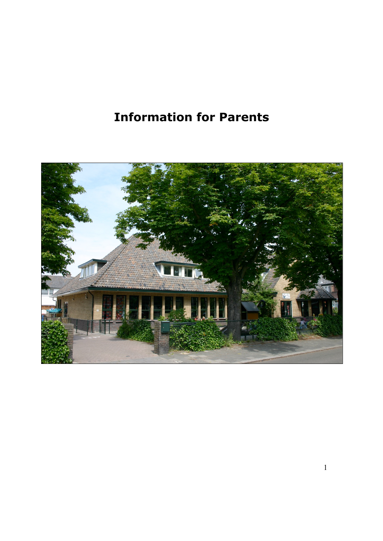# **Information for Parents**

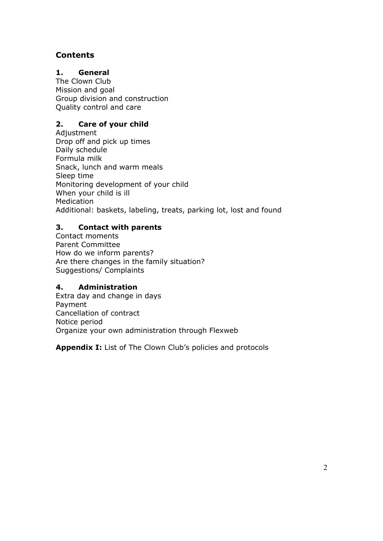# **Contents**

# **1. General**

The Clown Club Mission and goal Group division and construction Quality control and care

# **2. Care of your child**

Adjustment Drop off and pick up times Daily schedule Formula milk Snack, lunch and warm meals Sleep time Monitoring development of your child When your child is ill Medication Additional: baskets, labeling, treats, parking lot, lost and found

# **3. Contact with parents**

Contact moments Parent Committee How do we inform parents? Are there changes in the family situation? Suggestions/ Complaints

# **4. Administration**

Extra day and change in days Payment Cancellation of contract Notice period Organize your own administration through Flexweb

**Appendix I:** List of The Clown Club's policies and protocols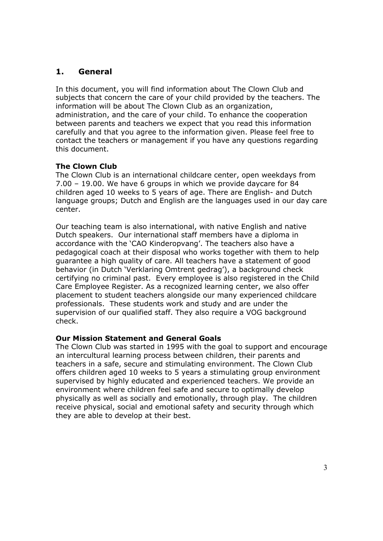# **1. General**

In this document, you will find information about The Clown Club and subjects that concern the care of your child provided by the teachers. The information will be about The Clown Club as an organization, administration, and the care of your child. To enhance the cooperation between parents and teachers we expect that you read this information carefully and that you agree to the information given. Please feel free to contact the teachers or management if you have any questions regarding this document.

# **The Clown Club**

The Clown Club is an international childcare center, open weekdays from 7.00 – 19.00. We have 6 groups in which we provide daycare for 84 children aged 10 weeks to 5 years of age. There are English- and Dutch language groups; Dutch and English are the languages used in our day care center.

Our teaching team is also international, with native English and native Dutch speakers. Our international staff members have a diploma in accordance with the 'CAO Kinderopvang'. The teachers also have a pedagogical coach at their disposal who works together with them to help guarantee a high quality of care. All teachers have a statement of good behavior (in Dutch 'Verklaring Omtrent gedrag'), a background check certifying no criminal past. Every employee is also registered in the Child Care Employee Register. As a recognized learning center, we also offer placement to student teachers alongside our many experienced childcare professionals. These students work and study and are under the supervision of our qualified staff. They also require a VOG background check.

# **Our Mission Statement and General Goals**

The Clown Club was started in 1995 with the goal to support and encourage an intercultural learning process between children, their parents and teachers in a safe, secure and stimulating environment. The Clown Club offers children aged 10 weeks to 5 years a stimulating group environment supervised by highly educated and experienced teachers. We provide an environment where children feel safe and secure to optimally develop physically as well as socially and emotionally, through play. The children receive physical, social and emotional safety and security through which they are able to develop at their best.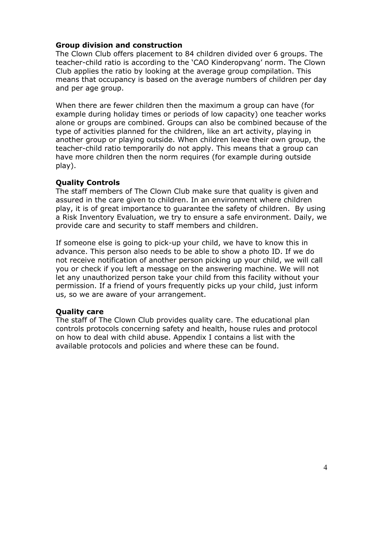## **Group division and construction**

The Clown Club offers placement to 84 children divided over 6 groups. The teacher-child ratio is according to the 'CAO Kinderopvang' norm. The Clown Club applies the ratio by looking at the average group compilation. This means that occupancy is based on the average numbers of children per day and per age group.

When there are fewer children then the maximum a group can have (for example during holiday times or periods of low capacity) one teacher works alone or groups are combined. Groups can also be combined because of the type of activities planned for the children, like an art activity, playing in another group or playing outside. When children leave their own group, the teacher-child ratio temporarily do not apply. This means that a group can have more children then the norm requires (for example during outside play).

## **Quality Controls**

The staff members of The Clown Club make sure that quality is given and assured in the care given to children. In an environment where children play, it is of great importance to guarantee the safety of children. By using a Risk Inventory Evaluation, we try to ensure a safe environment. Daily, we provide care and security to staff members and children.

If someone else is going to pick-up your child, we have to know this in advance. This person also needs to be able to show a photo ID. If we do not receive notification of another person picking up your child, we will call you or check if you left a message on the answering machine. We will not let any unauthorized person take your child from this facility without your permission. If a friend of yours frequently picks up your child, just inform us, so we are aware of your arrangement.

# **Quality care**

The staff of The Clown Club provides quality care. The educational plan controls protocols concerning safety and health, house rules and protocol on how to deal with child abuse. Appendix I contains a list with the available protocols and policies and where these can be found.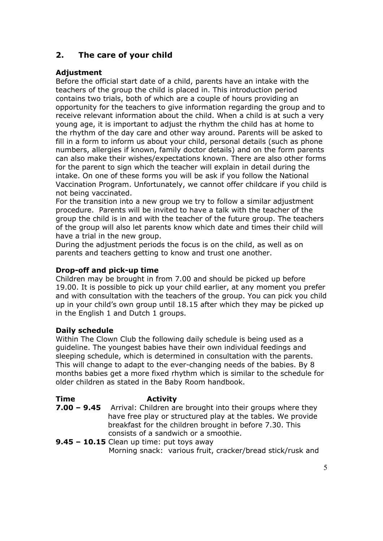# **2. The care of your child**

# **Adjustment**

Before the official start date of a child, parents have an intake with the teachers of the group the child is placed in. This introduction period contains two trials, both of which are a couple of hours providing an opportunity for the teachers to give information regarding the group and to receive relevant information about the child. When a child is at such a very young age, it is important to adjust the rhythm the child has at home to the rhythm of the day care and other way around. Parents will be asked to fill in a form to inform us about your child, personal details (such as phone numbers, allergies if known, family doctor details) and on the form parents can also make their wishes/expectations known. There are also other forms for the parent to sign which the teacher will explain in detail during the intake. On one of these forms you will be ask if you follow the National Vaccination Program. Unfortunately, we cannot offer childcare if you child is not being vaccinated.

For the transition into a new group we try to follow a similar adjustment procedure. Parents will be invited to have a talk with the teacher of the group the child is in and with the teacher of the future group. The teachers of the group will also let parents know which date and times their child will have a trial in the new group.

During the adjustment periods the focus is on the child, as well as on parents and teachers getting to know and trust one another.

# **Drop-off and pick-up time**

Children may be brought in from 7.00 and should be picked up before 19.00. It is possible to pick up your child earlier, at any moment you prefer and with consultation with the teachers of the group. You can pick you child up in your child's own group until 18.15 after which they may be picked up in the English 1 and Dutch 1 groups.

#### **Daily schedule**

Within The Clown Club the following daily schedule is being used as a guideline. The youngest babies have their own individual feedings and sleeping schedule, which is determined in consultation with the parents. This will change to adapt to the ever-changing needs of the babies. By 8 months babies get a more fixed rhythm which is similar to the schedule for older children as stated in the Baby Room handbook.

#### **Time Activity 7.00 – 9.45** Arrival: Children are brought into their groups where they have free play or structured play at the tables. We provide breakfast for the children brought in before 7.30. This consists of a sandwich or a smoothie. **9.45 – 10.15** Clean up time: put toys away

Morning snack: various fruit, cracker/bread stick/rusk and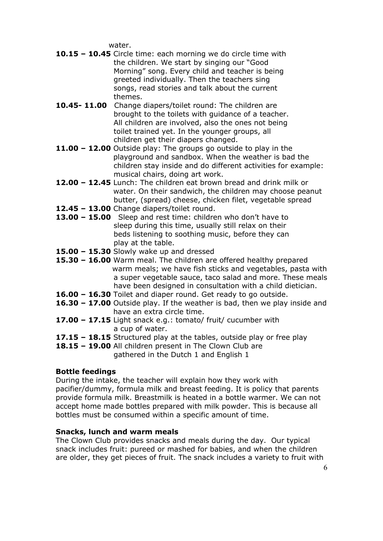water.

- **10.15 – 10.45** Circle time: each morning we do circle time with the children. We start by singing our "Good Morning" song. Every child and teacher is being greeted individually. Then the teachers sing songs, read stories and talk about the current themes.
- **10.45- 11.00** Change diapers/toilet round: The children are brought to the toilets with guidance of a teacher. All children are involved, also the ones not being toilet trained yet. In the younger groups, all children get their diapers changed.
- **11.00 – 12.00** Outside play: The groups go outside to play in the playground and sandbox. When the weather is bad the children stay inside and do different activities for example: musical chairs, doing art work.
- **12.00 – 12.45** Lunch: The children eat brown bread and drink milk or water. On their sandwich, the children may choose peanut butter, (spread) cheese, chicken filet, vegetable spread
- **12.45 – 13.00** Change diapers/toilet round.
- **13.00 – 15.00** Sleep and rest time: children who don't have to sleep during this time, usually still relax on their beds listening to soothing music, before they can play at the table.
- **15.00 – 15.30** Slowly wake up and dressed
- **15.30 – 16.00** Warm meal. The children are offered healthy prepared warm meals; we have fish sticks and vegetables, pasta with a super vegetable sauce, taco salad and more. These meals have been designed in consultation with a child dietician.
- **16.00 – 16.30** Toilet and diaper round. Get ready to go outside.
- **16.30 – 17.00** Outside play. If the weather is bad, then we play inside and have an extra circle time.
- **17.00 – 17.15** Light snack e.g.: tomato/ fruit/ cucumber with a cup of water.
- **17.15 – 18.15** Structured play at the tables, outside play or free play

**18.15 – 19.00** All children present in The Clown Club are gathered in the Dutch 1 and English 1

# **Bottle feedings**

During the intake, the teacher will explain how they work with pacifier/dummy, formula milk and breast feeding. It is policy that parents provide formula milk. Breastmilk is heated in a bottle warmer. We can not accept home made bottles prepared with milk powder. This is because all bottles must be consumed within a specific amount of time.

# **Snacks, lunch and warm meals**

The Clown Club provides snacks and meals during the day. Our typical snack includes fruit: pureed or mashed for babies, and when the children are older, they get pieces of fruit. The snack includes a variety to fruit with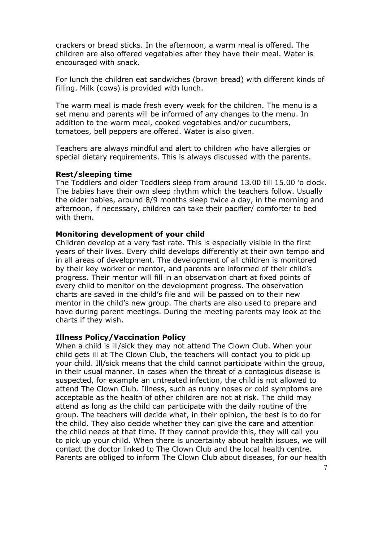crackers or bread sticks. In the afternoon, a warm meal is offered. The children are also offered vegetables after they have their meal. Water is encouraged with snack.

For lunch the children eat sandwiches (brown bread) with different kinds of filling. Milk (cows) is provided with lunch.

The warm meal is made fresh every week for the children. The menu is a set menu and parents will be informed of any changes to the menu. In addition to the warm meal, cooked vegetables and/or cucumbers, tomatoes, bell peppers are offered. Water is also given.

Teachers are always mindful and alert to children who have allergies or special dietary requirements. This is always discussed with the parents.

#### **Rest/sleeping time**

The Toddlers and older Toddlers sleep from around 13.00 till 15.00 'o clock. The babies have their own sleep rhythm which the teachers follow. Usually the older babies, around 8/9 months sleep twice a day, in the morning and afternoon, if necessary, children can take their pacifier/ comforter to bed with them.

#### **Monitoring development of your child**

Children develop at a very fast rate. This is especially visible in the first years of their lives. Every child develops differently at their own tempo and in all areas of development. The development of all children is monitored by their key worker or mentor, and parents are informed of their child's progress. Their mentor will fill in an observation chart at fixed points of every child to monitor on the development progress. The observation charts are saved in the child's file and will be passed on to their new mentor in the child's new group. The charts are also used to prepare and have during parent meetings. During the meeting parents may look at the charts if they wish.

#### **Illness Policy/Vaccination Policy**

When a child is ill/sick they may not attend The Clown Club. When your child gets ill at The Clown Club, the teachers will contact you to pick up your child. Ill/sick means that the child cannot participate within the group, in their usual manner. In cases when the threat of a contagious disease is suspected, for example an untreated infection, the child is not allowed to attend The Clown Club. Illness, such as runny noses or cold symptoms are acceptable as the health of other children are not at risk. The child may attend as long as the child can participate with the daily routine of the group. The teachers will decide what, in their opinion, the best is to do for the child. They also decide whether they can give the care and attention the child needs at that time. If they cannot provide this, they will call you to pick up your child. When there is uncertainty about health issues, we will contact the doctor linked to The Clown Club and the local health centre. Parents are obliged to inform The Clown Club about diseases, for our health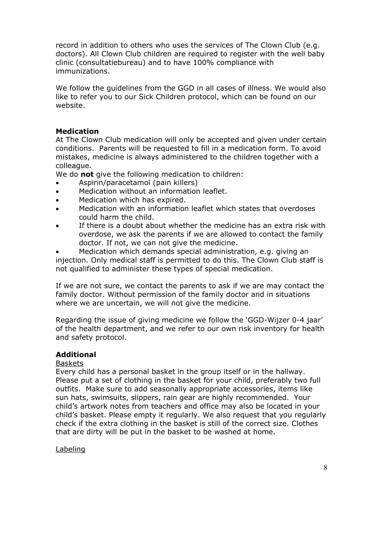record in addition to others who uses the services of The Clown Club (e.g. doctors). All Clown Club children are required to register with the well baby clinic (consultatiebureau) and to have 100% compliance with immunizations.

We follow the guidelines from the GGD in all cases of illness. We would also like to refer you to our Sick Children protocol, which can be found on our website.

## **Medication**

At The Clown Club medication will only be accepted and given under certain conditions. Parents will be requested to fill in a medication form. To avoid mistakes, medicine is always administered to the children together with a colleague.

We do **not** give the following medication to children:

- Aspirin/paracetamol (pain killers)
- Medication without an information leaflet.
- Medication which has expired.
- Medication with an information leaflet which states that overdoses could harm the child.
- If there is a doubt about whether the medicine has an extra risk with overdose, we ask the parents if we are allowed to contact the family doctor. If not, we can not give the medicine.

• Medication which demands special administration, e.g. giving an injection. Only medical staff is permitted to do this. The Clown Club staff is not qualified to administer these types of special medication.

If we are not sure, we contact the parents to ask if we are may contact the family doctor. Without permission of the family doctor and in situations where we are uncertain, we will not give the medicine.

Regarding the issue of giving medicine we follow the 'GGD-Wijzer 0-4 jaar' of the health department, and we refer to our own risk inventory for health and safety protocol.

# **Additional**

#### Baskets

Every child has a personal basket in the group itself or in the hallway. Please put a set of clothing in the basket for your child, preferably two full outfits. Make sure to add seasonally appropriate accessories, items like sun hats, swimsuits, slippers, rain gear are highly recommended. Your child's artwork notes from teachers and office may also be located in your child's basket. Please empty it regularly. We also request that you regularly check if the extra clothing in the basket is still of the correct size. Clothes that are dirty will be put in the basket to be washed at home.

#### Labeling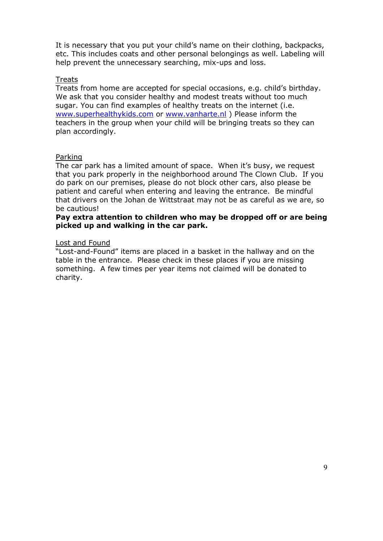It is necessary that you put your child's name on their clothing, backpacks, etc. This includes coats and other personal belongings as well. Labeling will help prevent the unnecessary searching, mix-ups and loss.

#### Treats

Treats from home are accepted for special occasions, e.g. child's birthday. We ask that you consider healthy and modest treats without too much sugar. You can find examples of healthy treats on the internet (i.e. www.superhealthykids.com or www.vanharte.nl ) Please inform the teachers in the group when your child will be bringing treats so they can plan accordingly.

#### Parking

The car park has a limited amount of space. When it's busy, we request that you park properly in the neighborhood around The Clown Club. If you do park on our premises, please do not block other cars, also please be patient and careful when entering and leaving the entrance. Be mindful that drivers on the Johan de Wittstraat may not be as careful as we are, so be cautious!

#### **Pay extra attention to children who may be dropped off or are being picked up and walking in the car park.**

#### Lost and Found

"Lost-and-Found" items are placed in a basket in the hallway and on the table in the entrance. Please check in these places if you are missing something. A few times per year items not claimed will be donated to charity.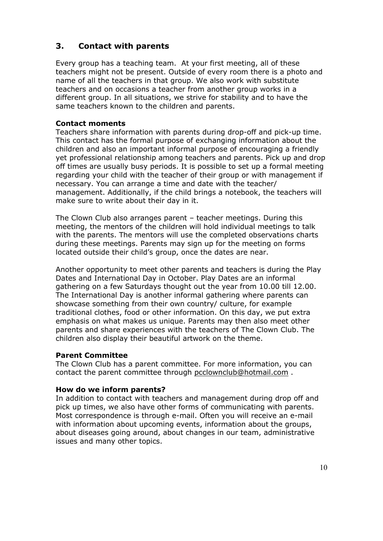# **3. Contact with parents**

Every group has a teaching team. At your first meeting, all of these teachers might not be present. Outside of every room there is a photo and name of all the teachers in that group. We also work with substitute teachers and on occasions a teacher from another group works in a different group. In all situations, we strive for stability and to have the same teachers known to the children and parents.

## **Contact moments**

Teachers share information with parents during drop-off and pick-up time. This contact has the formal purpose of exchanging information about the children and also an important informal purpose of encouraging a friendly yet professional relationship among teachers and parents. Pick up and drop off times are usually busy periods. It is possible to set up a formal meeting regarding your child with the teacher of their group or with management if necessary. You can arrange a time and date with the teacher/ management. Additionally, if the child brings a notebook, the teachers will make sure to write about their day in it.

The Clown Club also arranges parent – teacher meetings. During this meeting, the mentors of the children will hold individual meetings to talk with the parents. The mentors will use the completed observations charts during these meetings. Parents may sign up for the meeting on forms located outside their child's group, once the dates are near.

Another opportunity to meet other parents and teachers is during the Play Dates and International Day in October. Play Dates are an informal gathering on a few Saturdays thought out the year from 10.00 till 12.00. The International Day is another informal gathering where parents can showcase something from their own country/ culture, for example traditional clothes, food or other information. On this day, we put extra emphasis on what makes us unique. Parents may then also meet other parents and share experiences with the teachers of The Clown Club. The children also display their beautiful artwork on the theme.

#### **Parent Committee**

The Clown Club has a parent committee. For more information, you can contact the parent committee through pcclownclub@hotmail.com .

#### **How do we inform parents?**

In addition to contact with teachers and management during drop off and pick up times, we also have other forms of communicating with parents. Most correspondence is through e-mail. Often you will receive an e-mail with information about upcoming events, information about the groups, about diseases going around, about changes in our team, administrative issues and many other topics.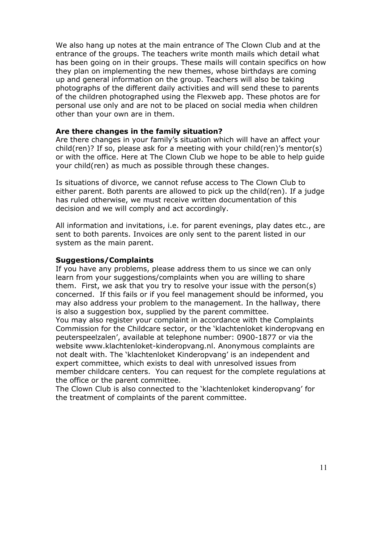We also hang up notes at the main entrance of The Clown Club and at the entrance of the groups. The teachers write month mails which detail what has been going on in their groups. These mails will contain specifics on how they plan on implementing the new themes, whose birthdays are coming up and general information on the group. Teachers will also be taking photographs of the different daily activities and will send these to parents of the children photographed using the Flexweb app. These photos are for personal use only and are not to be placed on social media when children other than your own are in them.

#### **Are there changes in the family situation?**

Are there changes in your family's situation which will have an affect your child(ren)? If so, please ask for a meeting with your child(ren)'s mentor(s) or with the office. Here at The Clown Club we hope to be able to help guide your child(ren) as much as possible through these changes.

Is situations of divorce, we cannot refuse access to The Clown Club to either parent. Both parents are allowed to pick up the child(ren). If a judge has ruled otherwise, we must receive written documentation of this decision and we will comply and act accordingly.

All information and invitations, i.e. for parent evenings, play dates etc., are sent to both parents. Invoices are only sent to the parent listed in our system as the main parent.

#### **Suggestions/Complaints**

If you have any problems, please address them to us since we can only learn from your suggestions/complaints when you are willing to share them. First, we ask that you try to resolve your issue with the person(s) concerned. If this fails or if you feel management should be informed, you may also address your problem to the management. In the hallway, there is also a suggestion box, supplied by the parent committee.

You may also register your complaint in accordance with the Complaints Commission for the Childcare sector, or the 'klachtenloket kinderopvang en peuterspeelzalen', available at telephone number: 0900-1877 or via the website www.klachtenloket-kinderopvang.nl. Anonymous complaints are not dealt with. The 'klachtenloket Kinderopvang' is an independent and expert committee, which exists to deal with unresolved issues from member childcare centers. You can request for the complete regulations at the office or the parent committee.

The Clown Club is also connected to the 'klachtenloket kinderopvang' for the treatment of complaints of the parent committee.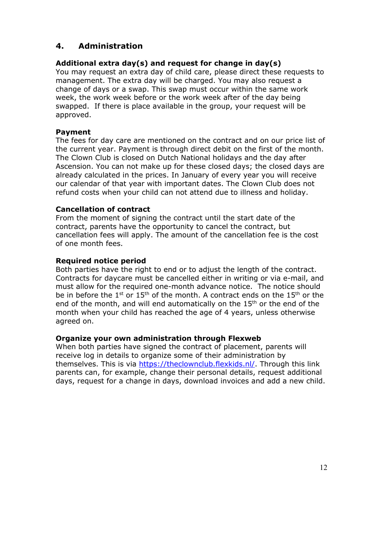# **4. Administration**

# **Additional extra day(s) and request for change in day(s)**

You may request an extra day of child care, please direct these requests to management. The extra day will be charged. You may also request a change of days or a swap. This swap must occur within the same work week, the work week before or the work week after of the day being swapped. If there is place available in the group, your request will be approved.

## **Payment**

The fees for day care are mentioned on the contract and on our price list of the current year. Payment is through direct debit on the first of the month. The Clown Club is closed on Dutch National holidays and the day after Ascension. You can not make up for these closed days; the closed days are already calculated in the prices. In January of every year you will receive our calendar of that year with important dates. The Clown Club does not refund costs when your child can not attend due to illness and holiday.

## **Cancellation of contract**

From the moment of signing the contract until the start date of the contract, parents have the opportunity to cancel the contract, but cancellation fees will apply. The amount of the cancellation fee is the cost of one month fees.

#### **Required notice period**

Both parties have the right to end or to adjust the length of the contract. Contracts for daycare must be cancelled either in writing or via e-mail, and must allow for the required one-month advance notice. The notice should be in before the  $1^{st}$  or  $15^{th}$  of the month. A contract ends on the  $15^{th}$  or the end of the month, and will end automatically on the 15<sup>th</sup> or the end of the month when your child has reached the age of 4 years, unless otherwise agreed on.

#### **Organize your own administration through Flexweb**

When both parties have signed the contract of placement, parents will receive log in details to organize some of their administration by themselves. This is via https://theclownclub.flexkids.nl/. Through this link parents can, for example, change their personal details, request additional days, request for a change in days, download invoices and add a new child.